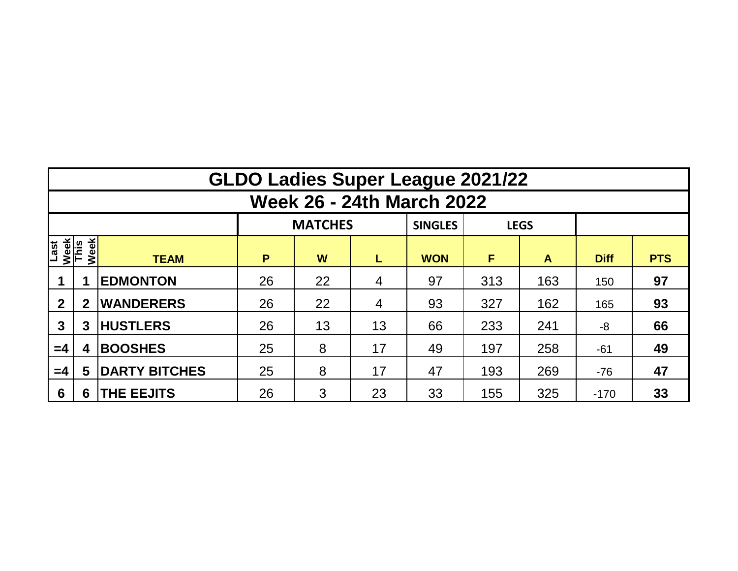|                                  | <b>GLDO Ladies Super League 2021/22</b> |                      |    |                |    |                |     |             |             |            |  |  |  |  |  |
|----------------------------------|-----------------------------------------|----------------------|----|----------------|----|----------------|-----|-------------|-------------|------------|--|--|--|--|--|
| <b>Week 26 - 24th March 2022</b> |                                         |                      |    |                |    |                |     |             |             |            |  |  |  |  |  |
|                                  |                                         |                      |    | <b>MATCHES</b> |    | <b>SINGLES</b> |     | <b>LEGS</b> |             |            |  |  |  |  |  |
| Last<br>Week<br>This             | Week                                    | <b>TEAM</b>          | P  | W              | L  | <b>WON</b>     | F   | A           | <b>Diff</b> | <b>PTS</b> |  |  |  |  |  |
|                                  |                                         | <b>EDMONTON</b>      | 26 | 22             | 4  | 97             | 313 | 163         | 150         | 97         |  |  |  |  |  |
| $\mathbf{2}$                     | $\mathbf 2$                             | <b>WANDERERS</b>     | 26 | 22             | 4  | 93             | 327 | 162         | 165         | 93         |  |  |  |  |  |
| 3                                | 3                                       | <b>HUSTLERS</b>      | 26 | 13             | 13 | 66             | 233 | 241         | -8          | 66         |  |  |  |  |  |
| $=4$                             | 4                                       | <b>BOOSHES</b>       | 25 | 8              |    | 49             | 197 | 258         | $-61$       | 49         |  |  |  |  |  |
| $=4$                             | 5                                       | <b>DARTY BITCHES</b> | 25 | 8              | 17 | 47             | 193 | 269         | $-76$       | 47         |  |  |  |  |  |
| 6                                | 6                                       | <b>THE EEJITS</b>    | 26 | 3              | 23 | 33             | 155 | 325         | $-170$      | 33         |  |  |  |  |  |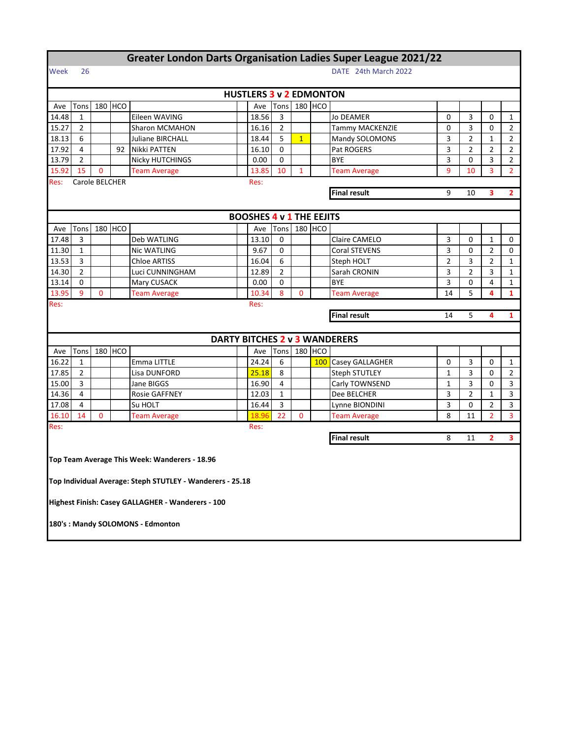|                |                                                     |                |            | <b>Greater London Darts Organisation Ladies Super League 2021/22</b> |  |                                                       |                |                |         |                                        |                |                |                |                |  |
|----------------|-----------------------------------------------------|----------------|------------|----------------------------------------------------------------------|--|-------------------------------------------------------|----------------|----------------|---------|----------------------------------------|----------------|----------------|----------------|----------------|--|
| Week           | 26                                                  |                |            |                                                                      |  |                                                       |                |                |         | DATE 24th March 2022                   |                |                |                |                |  |
|                | <b>HUSTLERS 3 v 2 EDMONTON</b>                      |                |            |                                                                      |  |                                                       |                |                |         |                                        |                |                |                |                |  |
| Ave            | Tons                                                | 180            | <b>HCO</b> |                                                                      |  | Ave                                                   | Tons           |                | 180 HCO |                                        |                |                |                |                |  |
| 14.48          | $\mathbf{1}$                                        |                |            | Eileen WAVING                                                        |  | 18.56                                                 | 3              |                |         | <b>Jo DEAMER</b>                       | 0              | 3              | 0              | 1              |  |
| 15.27          | $\overline{2}$                                      |                |            | Sharon MCMAHON                                                       |  | 16.16                                                 | $\overline{2}$ |                |         | <b>Tammy MACKENZIE</b>                 | 0              | 3              | 0              | $\overline{2}$ |  |
| 18.13          | 6                                                   |                |            | Juliane BIRCHALL                                                     |  | 18.44                                                 | 5              | $\overline{1}$ |         | Mandy SOLOMONS                         | 3              | $\overline{2}$ | 1              | 2              |  |
| 17.92          | 4                                                   |                | 92         | Nikki PATTEN                                                         |  | 16.10                                                 | 0              |                |         | Pat ROGERS                             | 3              | $\overline{2}$ | 2              | 2              |  |
| 13.79          | $\overline{2}$                                      |                |            | <b>Nicky HUTCHINGS</b>                                               |  | 0.00                                                  | 0              |                |         | <b>BYE</b>                             | 3              | 0              | 3              | 2              |  |
| 15.92          | 15                                                  | $\mathbf 0$    |            | <b>Team Average</b>                                                  |  | 13.85                                                 | 10             | $\mathbf{1}$   |         | <b>Team Average</b>                    | 9              | 10             | 3              | $\overline{2}$ |  |
| Res:           |                                                     | Carole BELCHER |            |                                                                      |  | Res:                                                  |                |                |         |                                        |                |                |                |                |  |
|                |                                                     |                |            |                                                                      |  | <b>Final result</b><br>9<br>$\overline{2}$<br>10<br>3 |                |                |         |                                        |                |                |                |                |  |
|                |                                                     |                |            |                                                                      |  |                                                       |                |                |         |                                        |                |                |                |                |  |
|                |                                                     |                |            |                                                                      |  | <b>BOOSHES 4 v 1 THE EEJITS</b>                       |                |                |         |                                        |                |                |                |                |  |
| Ave            | Tons                                                | 180            | <b>HCO</b> |                                                                      |  | Ave                                                   | Tons           |                | 180 HCO |                                        |                |                |                |                |  |
| 17.48          | 3                                                   |                |            | Deb WATLING                                                          |  | 13.10                                                 | 0              |                |         | Claire CAMELO                          | 3              | 0              | $\mathbf{1}$   | 0              |  |
| 11.30          | $\mathbf{1}$                                        |                |            | Nic WATLING                                                          |  | 9.67                                                  | 0              |                |         | Coral STEVENS                          | 3              | 0              | $\overline{2}$ | 0              |  |
| 13.53          | 3                                                   |                |            | <b>Chloe ARTISS</b>                                                  |  | 16.04                                                 | 6              |                |         | Steph HOLT                             | $\overline{2}$ | 3              | $\overline{2}$ | $\mathbf{1}$   |  |
| 14.30          | $\overline{2}$                                      |                |            | Luci CUNNINGHAM                                                      |  | 12.89                                                 | $\overline{2}$ |                |         | Sarah CRONIN                           | 3              | $\overline{2}$ | 3              | $\mathbf{1}$   |  |
| 13.14          | 0                                                   |                |            | Mary CUSACK                                                          |  | 0.00                                                  | 0              |                |         | <b>BYE</b>                             | 3              | 0              | 4              | $\mathbf{1}$   |  |
| 13.95          | 9                                                   | 0              |            | <b>Team Average</b>                                                  |  | 10.34                                                 | 8              | 0              |         | <b>Team Average</b>                    | 14             | 5              | 4              | $\mathbf{1}$   |  |
| Res:           |                                                     |                |            |                                                                      |  | Res:                                                  |                |                |         |                                        |                |                |                |                |  |
|                | <b>Final result</b><br>5<br>4<br>$\mathbf{1}$<br>14 |                |            |                                                                      |  |                                                       |                |                |         |                                        |                |                |                |                |  |
|                |                                                     |                |            |                                                                      |  |                                                       |                |                |         | DARTY BITCHES 2 v 3 WANDERERS          |                |                |                |                |  |
|                |                                                     |                | <b>HCO</b> |                                                                      |  |                                                       |                |                |         |                                        |                |                |                |                |  |
| Ave            | Tons<br>$\mathbf{1}$                                | 180            |            |                                                                      |  | Ave<br>24.24                                          | Tons<br>6      |                | 180 HCO |                                        |                | 3              |                |                |  |
| 16.22          | $\overline{2}$                                      |                |            | Emma LITTLE                                                          |  |                                                       | 8              |                |         | 100 Casey GALLAGHER                    | 0<br>1         | 3              | 0              | 1<br>2         |  |
| 17.85<br>15.00 | 3                                                   |                |            | Lisa DUNFORD<br>Jane BIGGS                                           |  | 25.18<br>16.90                                        | 4              |                |         | <b>Steph STUTLEY</b><br>Carly TOWNSEND | $\mathbf{1}$   | 3              | 0<br>0         | 3              |  |
| 14.36          | 4                                                   |                |            | <b>Rosie GAFFNEY</b>                                                 |  | 12.03                                                 | $\mathbf{1}$   |                |         | Dee BELCHER                            | 3              | $\overline{2}$ | $\mathbf{1}$   | 3              |  |
| 17.08          | 4                                                   |                |            | Su HOLT                                                              |  | 16.44                                                 | 3              |                |         | Lynne BIONDINI                         | 3              | 0              | $\overline{2}$ | 3              |  |
| 16.10          | 14                                                  | $\mathbf 0$    |            | <b>Team Average</b>                                                  |  | 18.96                                                 | 22             | 0              |         | <b>Team Average</b>                    | 8              | 11             | $\overline{2}$ | 3              |  |
| Res:           |                                                     |                |            |                                                                      |  | Res:                                                  |                |                |         |                                        |                |                |                |                |  |
|                |                                                     |                |            |                                                                      |  |                                                       |                |                |         | <b>Final result</b>                    | 8              | 11             | $\overline{2}$ | 3              |  |
|                |                                                     |                |            |                                                                      |  |                                                       |                |                |         |                                        |                |                |                |                |  |
|                |                                                     |                |            | Top Team Average This Week: Wanderers - 18.96                        |  |                                                       |                |                |         |                                        |                |                |                |                |  |
|                |                                                     |                |            |                                                                      |  |                                                       |                |                |         |                                        |                |                |                |                |  |
|                |                                                     |                |            | Top Individual Average: Steph STUTLEY - Wanderers - 25.18            |  |                                                       |                |                |         |                                        |                |                |                |                |  |
|                |                                                     |                |            |                                                                      |  |                                                       |                |                |         |                                        |                |                |                |                |  |
|                |                                                     |                |            | Highest Finish: Casey GALLAGHER - Wanderers - 100                    |  |                                                       |                |                |         |                                        |                |                |                |                |  |
|                |                                                     |                |            |                                                                      |  |                                                       |                |                |         |                                        |                |                |                |                |  |
|                |                                                     |                |            | 180's : Mandy SOLOMONS - Edmonton                                    |  |                                                       |                |                |         |                                        |                |                |                |                |  |